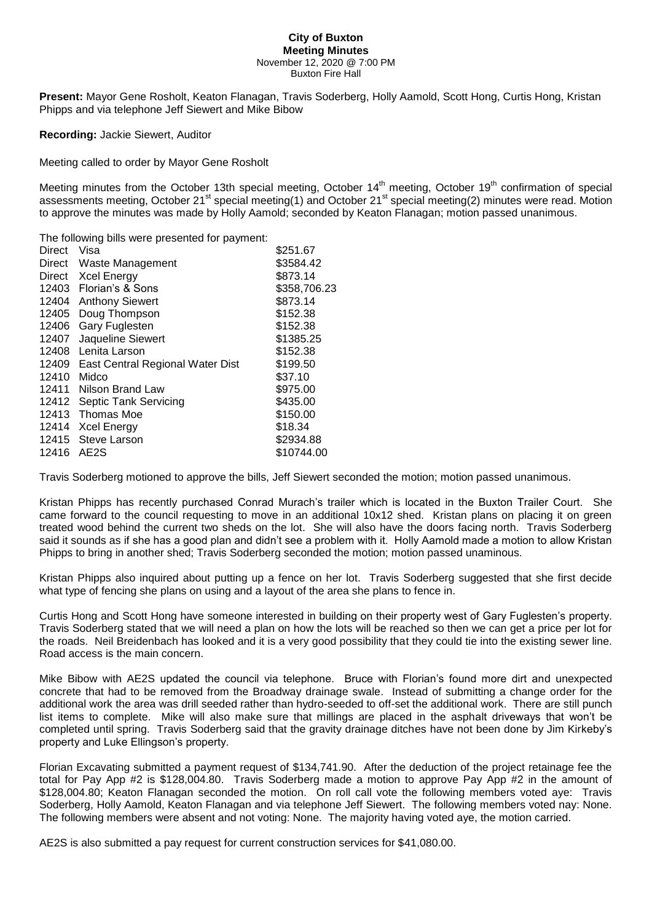## **City of Buxton Meeting Minutes** November 12, 2020 @ 7:00 PM

Buxton Fire Hall

**Present:** Mayor Gene Rosholt, Keaton Flanagan, Travis Soderberg, Holly Aamold, Scott Hong, Curtis Hong, Kristan Phipps and via telephone Jeff Siewert and Mike Bibow

**Recording:** Jackie Siewert, Auditor

Meeting called to order by Mayor Gene Rosholt

Meeting minutes from the October 13th special meeting, October 14<sup>th</sup> meeting, October 19<sup>th</sup> confirmation of special assessments meeting, October 21<sup>st</sup> special meeting(1) and October 21<sup>st</sup> special meeting(2) minutes were read. Motion to approve the minutes was made by Holly Aamold; seconded by Keaton Flanagan; motion passed unanimous.

| The following bills were presented for payment: |                   |
|-------------------------------------------------|-------------------|
| Visa                                            | \$251.67          |
| Direct<br>Waste Management                      | \$3584.42         |
| <b>Xcel Energy</b>                              | \$873.14          |
| 12403<br>Florian's & Sons                       | \$358,706.23      |
| 12404<br><b>Anthony Siewert</b>                 | \$873.14          |
| Doug Thompson                                   | \$152.38          |
| Gary Fuglesten                                  | \$152.38          |
|                                                 | \$1385.25         |
| Lenita Larson                                   | \$152.38          |
| 12409<br>East Central Regional Water Dist       | \$199.50          |
| Midco                                           | \$37.10           |
| Nilson Brand Law                                | \$975.00          |
| <b>Septic Tank Servicing</b>                    | \$435.00          |
| Thomas Moe                                      | \$150.00          |
| <b>Xcel Energy</b>                              | \$18.34           |
| 12415<br>Steve Larson                           | \$2934.88         |
| AE2S                                            | \$10744.00        |
|                                                 | Jaqueline Siewert |

Travis Soderberg motioned to approve the bills, Jeff Siewert seconded the motion; motion passed unanimous.

Kristan Phipps has recently purchased Conrad Murach's trailer which is located in the Buxton Trailer Court. She came forward to the council requesting to move in an additional 10x12 shed. Kristan plans on placing it on green treated wood behind the current two sheds on the lot. She will also have the doors facing north. Travis Soderberg said it sounds as if she has a good plan and didn't see a problem with it. Holly Aamold made a motion to allow Kristan Phipps to bring in another shed; Travis Soderberg seconded the motion; motion passed unaminous.

Kristan Phipps also inquired about putting up a fence on her lot. Travis Soderberg suggested that she first decide what type of fencing she plans on using and a layout of the area she plans to fence in.

Curtis Hong and Scott Hong have someone interested in building on their property west of Gary Fuglesten's property. Travis Soderberg stated that we will need a plan on how the lots will be reached so then we can get a price per lot for the roads. Neil Breidenbach has looked and it is a very good possibility that they could tie into the existing sewer line. Road access is the main concern.

Mike Bibow with AE2S updated the council via telephone. Bruce with Florian's found more dirt and unexpected concrete that had to be removed from the Broadway drainage swale. Instead of submitting a change order for the additional work the area was drill seeded rather than hydro-seeded to off-set the additional work. There are still punch list items to complete. Mike will also make sure that millings are placed in the asphalt driveways that won't be completed until spring. Travis Soderberg said that the gravity drainage ditches have not been done by Jim Kirkeby's property and Luke Ellingson's property.

Florian Excavating submitted a payment request of \$134,741.90. After the deduction of the project retainage fee the total for Pay App #2 is \$128,004.80. Travis Soderberg made a motion to approve Pay App #2 in the amount of \$128,004.80; Keaton Flanagan seconded the motion. On roll call vote the following members voted aye: Travis Soderberg, Holly Aamold, Keaton Flanagan and via telephone Jeff Siewert. The following members voted nay: None. The following members were absent and not voting: None. The majority having voted aye, the motion carried.

AE2S is also submitted a pay request for current construction services for \$41,080.00.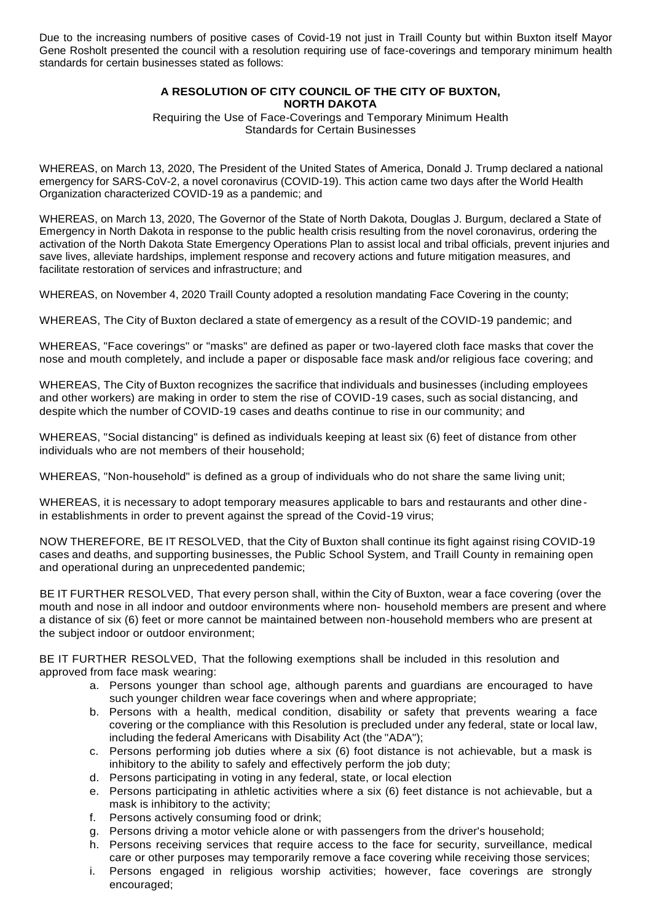Due to the increasing numbers of positive cases of Covid-19 not just in Traill County but within Buxton itself Mayor Gene Rosholt presented the council with a resolution requiring use of face-coverings and temporary minimum health standards for certain businesses stated as follows:

## **A RESOLUTION OF CITY COUNCIL OF THE CITY OF BUXTON, NORTH DAKOTA**

Requiring the Use of Face-Coverings and Temporary Minimum Health Standards for Certain Businesses

WHEREAS, on March 13, 2020, The President of the United States of America, Donald J. Trump declared a national emergency for SARS-CoV-2, a novel coronavirus (COVID-19). This action came two days after the World Health Organization characterized COVID-19 as a pandemic; and

WHEREAS, on March 13, 2020, The Governor of the State of North Dakota, Douglas J. Burgum, declared a State of Emergency in North Dakota in response to the public health crisis resulting from the novel coronavirus, ordering the activation of the North Dakota State Emergency Operations Plan to assist local and tribal officials, prevent injuries and save lives, alleviate hardships, implement response and recovery actions and future mitigation measures, and facilitate restoration of services and infrastructure; and

WHEREAS, on November 4, 2020 Traill County adopted a resolution mandating Face Covering in the county:

WHEREAS, The City of Buxton declared a state of emergency as a result of the COVID-19 pandemic; and

WHEREAS, "Face coverings" or "masks" are defined as paper or two-layered cloth face masks that cover the nose and mouth completely, and include a paper or disposable face mask and/or religious face covering; and

WHEREAS, The City of Buxton recognizes the sacrifice that individuals and businesses (including employees and other workers) are making in order to stem the rise of COVID-19 cases, such as social distancing, and despite which the number of COVID-19 cases and deaths continue to rise in our community; and

WHEREAS, "Social distancing" is defined as individuals keeping at least six (6) feet of distance from other individuals who are not members of their household;

WHEREAS, "Non-household" is defined as a group of individuals who do not share the same living unit;

WHEREAS, it is necessary to adopt temporary measures applicable to bars and restaurants and other dinein establishments in order to prevent against the spread of the Covid-19 virus;

NOW THEREFORE, BE IT RESOLVED, that the City of Buxton shall continue its fight against rising COVID-19 cases and deaths, and supporting businesses, the Public School System, and Traill County in remaining open and operational during an unprecedented pandemic;

BE IT FURTHER RESOLVED, That every person shall, within the City of Buxton, wear a face covering (over the mouth and nose in all indoor and outdoor environments where non- household members are present and where a distance of six (6) feet or more cannot be maintained between non-household members who are present at the subject indoor or outdoor environment;

BE IT FURTHER RESOLVED, That the following exemptions shall be included in this resolution and approved from face mask wearing:

- a. Persons younger than school age, although parents and guardians are encouraged to have such younger children wear face coverings when and where appropriate;
- b. Persons with a health, medical condition, disability or safety that prevents wearing a face covering or the compliance with this Resolution is precluded under any federal, state or local law, including the federal Americans with Disability Act (the "ADA");
- c. Persons performing job duties where a six (6) foot distance is not achievable, but a mask is inhibitory to the ability to safely and effectively perform the job duty;
- d. Persons participating in voting in any federal, state, or local election
- e. Persons participating in athletic activities where a six (6) feet distance is not achievable, but a mask is inhibitory to the activity;
- f. Persons actively consuming food or drink;
- g. Persons driving a motor vehicle alone or with passengers from the driver's household;
- h. Persons receiving services that require access to the face for security, surveillance, medical care or other purposes may temporarily remove a face covering while receiving those services;
- i. Persons engaged in religious worship activities; however, face coverings are strongly encouraged;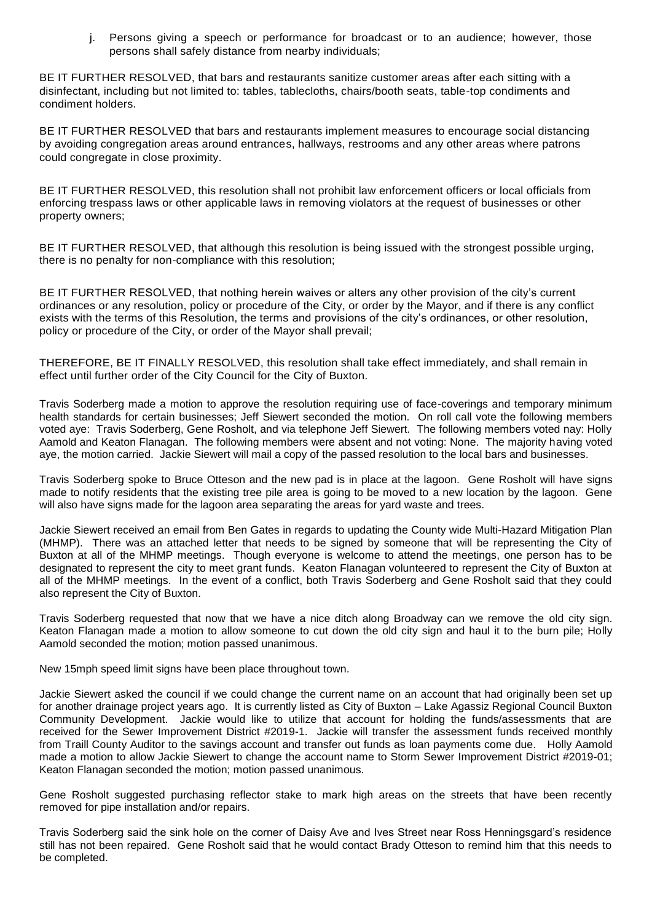j. Persons giving a speech or performance for broadcast or to an audience; however, those persons shall safely distance from nearby individuals;

BE IT FURTHER RESOLVED, that bars and restaurants sanitize customer areas after each sitting with a disinfectant, including but not limited to: tables, tablecloths, chairs/booth seats, table-top condiments and condiment holders.

BE IT FURTHER RESOLVED that bars and restaurants implement measures to encourage social distancing by avoiding congregation areas around entrances, hallways, restrooms and any other areas where patrons could congregate in close proximity.

BE IT FURTHER RESOLVED, this resolution shall not prohibit law enforcement officers or local officials from enforcing trespass laws or other applicable laws in removing violators at the request of businesses or other property owners;

BE IT FURTHER RESOLVED, that although this resolution is being issued with the strongest possible urging, there is no penalty for non-compliance with this resolution;

BE IT FURTHER RESOLVED, that nothing herein waives or alters any other provision of the city's current ordinances or any resolution, policy or procedure of the City, or order by the Mayor, and if there is any conflict exists with the terms of this Resolution, the terms and provisions of the city's ordinances, or other resolution, policy or procedure of the City, or order of the Mayor shall prevail;

THEREFORE, BE IT FINALLY RESOLVED, this resolution shall take effect immediately, and shall remain in effect until further order of the City Council for the City of Buxton.

Travis Soderberg made a motion to approve the resolution requiring use of face-coverings and temporary minimum health standards for certain businesses; Jeff Siewert seconded the motion. On roll call vote the following members voted aye: Travis Soderberg, Gene Rosholt, and via telephone Jeff Siewert. The following members voted nay: Holly Aamold and Keaton Flanagan. The following members were absent and not voting: None. The majority having voted aye, the motion carried. Jackie Siewert will mail a copy of the passed resolution to the local bars and businesses.

Travis Soderberg spoke to Bruce Otteson and the new pad is in place at the lagoon. Gene Rosholt will have signs made to notify residents that the existing tree pile area is going to be moved to a new location by the lagoon. Gene will also have signs made for the lagoon area separating the areas for yard waste and trees.

Jackie Siewert received an email from Ben Gates in regards to updating the County wide Multi-Hazard Mitigation Plan (MHMP). There was an attached letter that needs to be signed by someone that will be representing the City of Buxton at all of the MHMP meetings. Though everyone is welcome to attend the meetings, one person has to be designated to represent the city to meet grant funds. Keaton Flanagan volunteered to represent the City of Buxton at all of the MHMP meetings. In the event of a conflict, both Travis Soderberg and Gene Rosholt said that they could also represent the City of Buxton.

Travis Soderberg requested that now that we have a nice ditch along Broadway can we remove the old city sign. Keaton Flanagan made a motion to allow someone to cut down the old city sign and haul it to the burn pile; Holly Aamold seconded the motion; motion passed unanimous.

New 15mph speed limit signs have been place throughout town.

Jackie Siewert asked the council if we could change the current name on an account that had originally been set up for another drainage project years ago. It is currently listed as City of Buxton – Lake Agassiz Regional Council Buxton Community Development. Jackie would like to utilize that account for holding the funds/assessments that are received for the Sewer Improvement District #2019-1. Jackie will transfer the assessment funds received monthly from Traill County Auditor to the savings account and transfer out funds as loan payments come due. Holly Aamold made a motion to allow Jackie Siewert to change the account name to Storm Sewer Improvement District #2019-01; Keaton Flanagan seconded the motion; motion passed unanimous.

Gene Rosholt suggested purchasing reflector stake to mark high areas on the streets that have been recently removed for pipe installation and/or repairs.

Travis Soderberg said the sink hole on the corner of Daisy Ave and Ives Street near Ross Henningsgard's residence still has not been repaired. Gene Rosholt said that he would contact Brady Otteson to remind him that this needs to be completed.